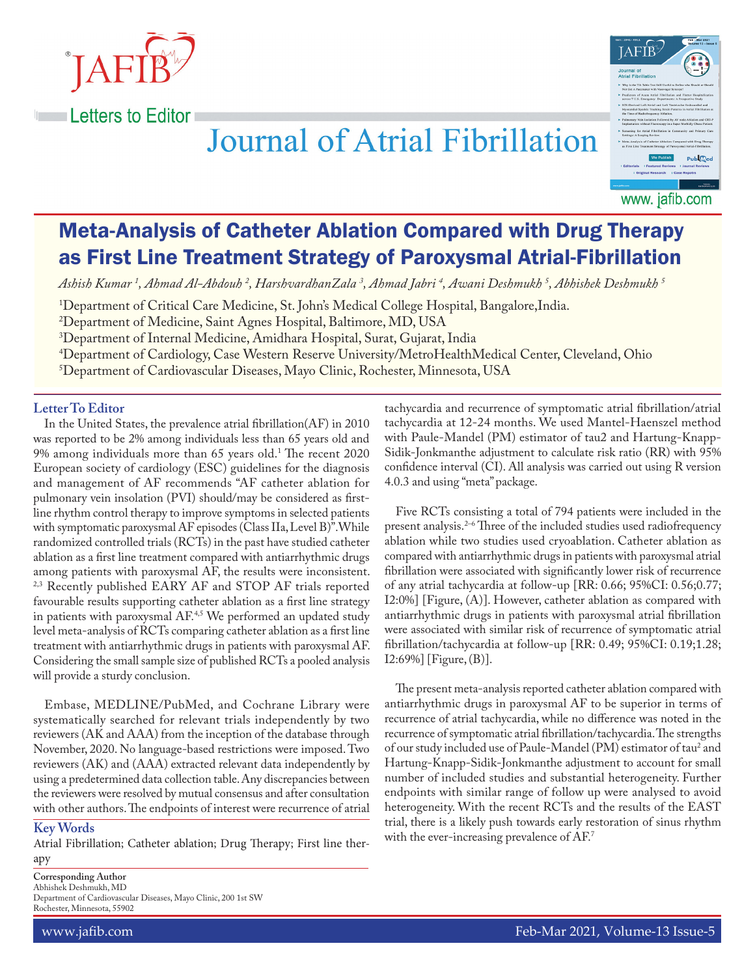

# **Journal of Atrial Fibrillation**



www. jafib.com

## Meta-Analysis of Catheter Ablation Compared with Drug Therapy as First Line Treatment Strategy of Paroxysmal Atrial-Fibrillation

*Ashish Kumar 1 , Ahmad Al-Abdouh 2 , HarshvardhanZala 3 , Ahmad Jabri 4 , Awani Deshmukh 5 , Abhishek Deshmukh 5*

1 Department of Critical Care Medicine, St. John's Medical College Hospital, Bangalore,India.

2 Department of Medicine, Saint Agnes Hospital, Baltimore, MD, USA

3 Department of Internal Medicine, Amidhara Hospital, Surat, Gujarat, India

4 Department of Cardiology, Case Western Reserve University/MetroHealthMedical Center, Cleveland, Ohio

5 Department of Cardiovascular Diseases, Mayo Clinic, Rochester, Minnesota, USA

### **Letter To Editor**

In the United States, the prevalence atrial fibrillation(AF) in 2010 was reported to be 2% among individuals less than 65 years old and 9% among individuals more than 65 years old.1 The recent 2020 European society of cardiology (ESC) guidelines for the diagnosis and management of AF recommends "AF catheter ablation for pulmonary vein insolation (PVI) should/may be considered as firstline rhythm control therapy to improve symptoms in selected patients with symptomatic paroxysmal AF episodes (Class IIa, Level B)".While randomized controlled trials (RCTs) in the past have studied catheter ablation as a first line treatment compared with antiarrhythmic drugs among patients with paroxysmal AF, the results were inconsistent. <sup>2,3</sup> Recently published EARY AF and STOP AF trials reported favourable results supporting catheter ablation as a first line strategy in patients with paroxysmal AF.<sup>4,5</sup> We performed an updated study level meta-analysis of RCTs comparing catheter ablation as a first line treatment with antiarrhythmic drugs in patients with paroxysmal AF. Considering the small sample size of published RCTs a pooled analysis will provide a sturdy conclusion.

Embase, MEDLINE/PubMed, and Cochrane Library were systematically searched for relevant trials independently by two reviewers (AK and AAA) from the inception of the database through November, 2020. No language-based restrictions were imposed. Two reviewers (AK) and (AAA) extracted relevant data independently by using a predetermined data collection table. Any discrepancies between the reviewers were resolved by mutual consensus and after consultation with other authors. The endpoints of interest were recurrence of atrial

#### **Key Words**

Atrial Fibrillation; Catheter ablation; Drug Therapy; First line therapy

**Corresponding Author** Abhishek Deshmukh, MD Department of Cardiovascular Diseases, Mayo Clinic, 200 1st SW Rochester, Minnesota, 55902

tachycardia and recurrence of symptomatic atrial fibrillation/atrial tachycardia at 12-24 months. We used Mantel-Haenszel method with Paule-Mandel (PM) estimator of tau2 and Hartung-Knapp-Sidik-Jonkmanthe adjustment to calculate risk ratio (RR) with 95% confidence interval (CI). All analysis was carried out using R version 4.0.3 and using "meta" package.

Five RCTs consisting a total of 794 patients were included in the present analysis.<sup>2-6</sup> Three of the included studies used radiofrequency ablation while two studies used cryoablation. Catheter ablation as compared with antiarrhythmic drugs in patients with paroxysmal atrial fibrillation were associated with significantly lower risk of recurrence of any atrial tachycardia at follow-up [RR: 0.66; 95%CI: 0.56;0.77; I2:0%] [Figure, (A)]. However, catheter ablation as compared with antiarrhythmic drugs in patients with paroxysmal atrial fibrillation were associated with similar risk of recurrence of symptomatic atrial fibrillation/tachycardia at follow-up [RR: 0.49; 95%CI: 0.19;1.28; I2:69%] [Figure, (B)].

The present meta-analysis reported catheter ablation compared with antiarrhythmic drugs in paroxysmal AF to be superior in terms of recurrence of atrial tachycardia, while no difference was noted in the recurrence of symptomatic atrial fibrillation/tachycardia. The strengths of our study included use of Paule-Mandel (PM) estimator of tau<sup>2</sup> and Hartung-Knapp-Sidik-Jonkmanthe adjustment to account for small number of included studies and substantial heterogeneity. Further endpoints with similar range of follow up were analysed to avoid heterogeneity. With the recent RCTs and the results of the EAST trial, there is a likely push towards early restoration of sinus rhythm with the ever-increasing prevalence of AF.<sup>7</sup>